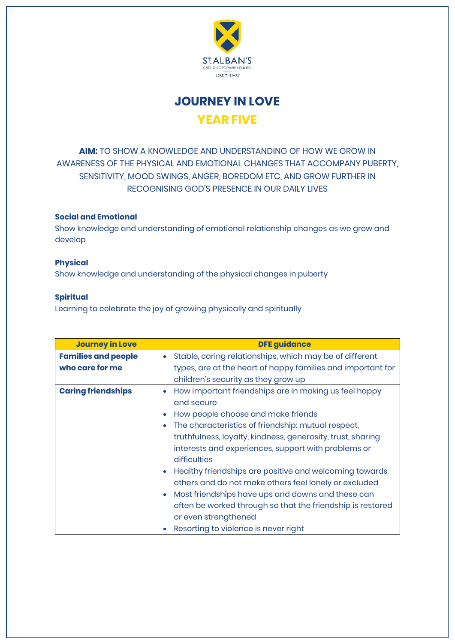

**JOURNEY IN LOVE YEAR FIVE**

**AIM:** TO SHOW A KNOWLEDGE AND UNDERSTANDING OF HOW WE GROW IN AWARENESS OF THE PHYSICAL AND EMOTIONAL CHANGES THAT ACCOMPANY PUBERTY, SENSITIVITY, MOOD SWINGS, ANGER, BOREDOM ETC, AND GROW FURTHER IN RECOGNISING GOD'S PRESENCE IN OUR DAILY LIVES

## **Social and Emotional**

Show knowledge and understanding of emotional relationship changes as we grow and develop

## **Physical**

Show knowledge and understanding of the physical changes in puberty

## **Spiritual**

Learning to celebrate the joy of growing physically and spiritually

| <b>Journey in Love</b>     | <b>DFE guidance</b>                                                  |
|----------------------------|----------------------------------------------------------------------|
| <b>Families and people</b> | Stable, caring relationships, which may be of different<br>$\bullet$ |
| who care for me            | types, are at the heart of happy families and important for          |
|                            | children's security as they grow up                                  |
| <b>Caring friendships</b>  | How important friendships are in making us feel happy<br>۰           |
|                            | and secure                                                           |
|                            | How people choose and make friends<br>۰                              |
|                            | The characteristics of friendship: mutual respect,<br>$\bullet$      |
|                            | truthfulness, loyalty, kindness, generosity, trust, sharing          |
|                            | interests and experiences, support with problems or                  |
|                            | difficulties                                                         |
|                            | Healthy friendships are positive and welcoming towards<br>۰          |
|                            | others and do not make others feel lonely or excluded                |
|                            | Most friendships have ups and downs and these can<br>$\bullet$       |
|                            | often be worked through so that the friendship is restored           |
|                            | or even strengthened                                                 |
|                            | Resorting to violence is never right                                 |